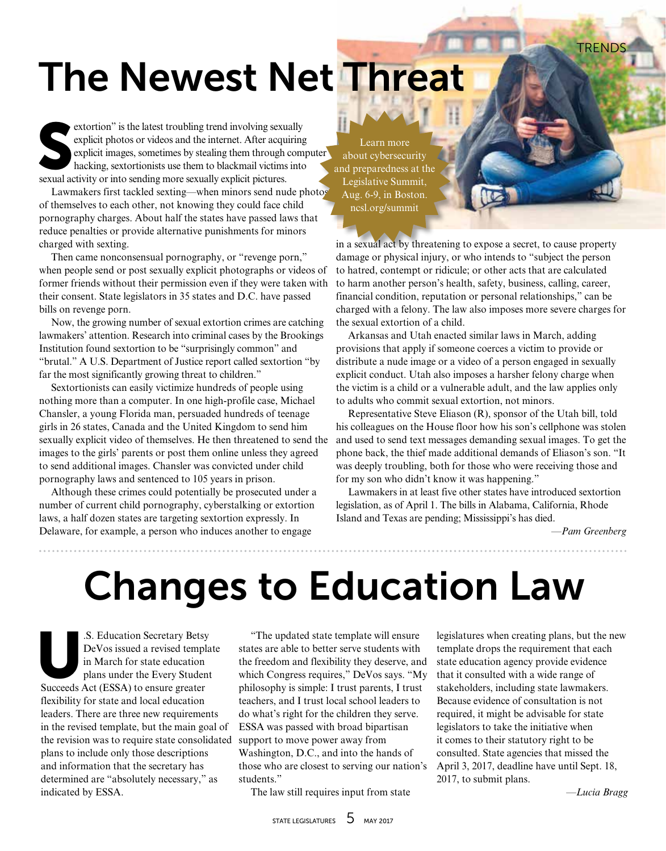**TRENDS** 

## The Newest Net Threat

extortion" is the latest troubling trend involving sexual explicit photos or videos and the internet. After acquesplicit images, sometimes by stealing them through hacking, sextortionists use them to blackmail victims sexu extortion" is the latest troubling trend involving sexually explicit photos or videos and the internet. After acquiring explicit images, sometimes by stealing them through computer hacking, sextortionists use them to blackmail victims into

Lawmakers first tackled sexting—when minors send nude photos of themselves to each other, not knowing they could face child pornography charges. About half the states have passed laws that reduce penalties or provide alternative punishments for minors charged with sexting.

Then came nonconsensual pornography, or "revenge porn," when people send or post sexually explicit photographs or videos of former friends without their permission even if they were taken with their consent. State legislators in 35 states and D.C. have passed bills on revenge porn.

Now, the growing number of sexual extortion crimes are catching lawmakers' attention. Research into criminal cases by the Brookings Institution found sextortion to be "surprisingly common" and "brutal." A U.S. Department of Justice report called sextortion "by far the most significantly growing threat to children."

Sextortionists can easily victimize hundreds of people using nothing more than a computer. In one high-profile case, Michael Chansler, a young Florida man, persuaded hundreds of teenage girls in 26 states, Canada and the United Kingdom to send him sexually explicit video of themselves. He then threatened to send the images to the girls' parents or post them online unless they agreed to send additional images. Chansler was convicted under child pornography laws and sentenced to 105 years in prison.

Although these crimes could potentially be prosecuted under a number of current child pornography, cyberstalking or extortion laws, a half dozen states are targeting sextortion expressly. In Delaware, for example, a person who induces another to engage

Learn more about cybersecurity and preparedness at the Legislative Summit, Aug. 6-9, in Boston. ncsl.org/summit

in a sexual act by threatening to expose a secret, to cause property damage or physical injury, or who intends to "subject the person to hatred, contempt or ridicule; or other acts that are calculated to harm another person's health, safety, business, calling, career, financial condition, reputation or personal relationships," can be charged with a felony. The law also imposes more severe charges for the sexual extortion of a child.

Arkansas and Utah enacted similar laws in March, adding provisions that apply if someone coerces a victim to provide or distribute a nude image or a video of a person engaged in sexually explicit conduct. Utah also imposes a harsher felony charge when the victim is a child or a vulnerable adult, and the law applies only to adults who commit sexual extortion, not minors.

Representative Steve Eliason (R), sponsor of the Utah bill, told his colleagues on the House floor how his son's cellphone was stolen and used to send text messages demanding sexual images. To get the phone back, the thief made additional demands of Eliason's son. "It was deeply troubling, both for those who were receiving those and for my son who didn't know it was happening."

Lawmakers in at least five other states have introduced sextortion legislation, as of April 1. The bills in Alabama, California, Rhode Island and Texas are pending; Mississippi's has died.

*—Pam Greenberg*

## Changes to Education Law

S. Education Secretary Betsy<br>DeVos issued a revised templa<br>in March for state education<br>plans under the Every Student<br>Succeeds Act (ESSA) to ensure greater DeVos issued a revised template in March for state education plans under the Every Student Succeeds Act (ESSA) to ensure greater flexibility for state and local education leaders. There are three new requirements in the revised template, but the main goal of the revision was to require state consolidated plans to include only those descriptions and information that the secretary has determined are "absolutely necessary," as indicated by ESSA.

"The updated state template will ensure states are able to better serve students with the freedom and flexibility they deserve, and which Congress requires," DeVos says. "My philosophy is simple: I trust parents, I trust teachers, and I trust local school leaders to do what's right for the children they serve. ESSA was passed with broad bipartisan support to move power away from Washington, D.C., and into the hands of those who are closest to serving our nation's students."

The law still requires input from state

legislatures when creating plans, but the new template drops the requirement that each state education agency provide evidence that it consulted with a wide range of stakeholders, including state lawmakers. Because evidence of consultation is not required, it might be advisable for state legislators to take the initiative when it comes to their statutory right to be consulted. State agencies that missed the April 3, 2017, deadline have until Sept. 18, 2017, to submit plans.

*—Lucia Bragg*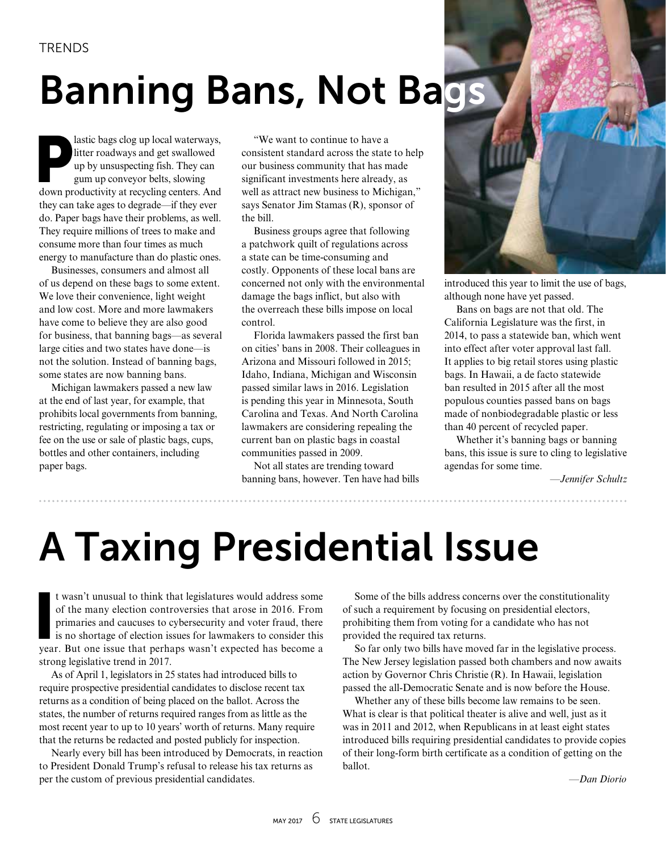# Banning Bans, Not Bags

lastic bags clog up local waterways, litter roadways and get swallowed up by unsuspecting fish. They can gum up conveyor belts, slowing down productivity at recycling centers. And they can take ages to degrade—if they ever do. Paper bags have their problems, as well. They require millions of trees to make and consume more than four times as much energy to manufacture than do plastic ones.

Businesses, consumers and almost all of us depend on these bags to some extent. We love their convenience, light weight and low cost. More and more lawmakers have come to believe they are also good for business, that banning bags—as several large cities and two states have done—is not the solution. Instead of banning bags, some states are now banning bans.

Michigan lawmakers passed a new law at the end of last year, for example, that prohibits local governments from banning, restricting, regulating or imposing a tax or fee on the use or sale of plastic bags, cups, bottles and other containers, including paper bags.

"We want to continue to have a consistent standard across the state to help our business community that has made significant investments here already, as well as attract new business to Michigan," says Senator Jim Stamas (R), sponsor of the bill.

Business groups agree that following a patchwork quilt of regulations across a state can be time-consuming and costly. Opponents of these local bans are concerned not only with the environmental damage the bags inflict, but also with the overreach these bills impose on local control.

Florida lawmakers passed the first ban on cities' bans in 2008. Their colleagues in Arizona and Missouri followed in 2015; Idaho, Indiana, Michigan and Wisconsin passed similar laws in 2016. Legislation is pending this year in Minnesota, South Carolina and Texas. And North Carolina lawmakers are considering repealing the current ban on plastic bags in coastal communities passed in 2009.

Not all states are trending toward banning bans, however. Ten have had bills



introduced this year to limit the use of bags, although none have yet passed.

Bans on bags are not that old. The California Legislature was the first, in 2014, to pass a statewide ban, which went into effect after voter approval last fall. It applies to big retail stores using plastic bags. In Hawaii, a de facto statewide ban resulted in 2015 after all the most populous counties passed bans on bags made of nonbiodegradable plastic or less than 40 percent of recycled paper.

Whether it's banning bags or banning bans, this issue is sure to cling to legislative agendas for some time.

*—Jennifer Schultz*

# A Taxing Presidential Issue

t wasn't unusual to think that legislatures would address some<br>of the many election controversies that arose in 2016. From<br>primaries and caucuses to cybersecurity and voter fraud, there<br>is no shortage of election issues fo t wasn't unusual to think that legislatures would address some of the many election controversies that arose in 2016. From primaries and caucuses to cybersecurity and voter fraud, there is no shortage of election issues for lawmakers to consider this strong legislative trend in 2017.

As of April 1, legislators in 25 states had introduced bills to require prospective presidential candidates to disclose recent tax returns as a condition of being placed on the ballot. Across the states, the number of returns required ranges from as little as the most recent year to up to 10 years' worth of returns. Many require that the returns be redacted and posted publicly for inspection.

Nearly every bill has been introduced by Democrats, in reaction to President Donald Trump's refusal to release his tax returns as per the custom of previous presidential candidates.

Some of the bills address concerns over the constitutionality of such a requirement by focusing on presidential electors, prohibiting them from voting for a candidate who has not provided the required tax returns.

So far only two bills have moved far in the legislative process. The New Jersey legislation passed both chambers and now awaits action by Governor Chris Christie (R). In Hawaii, legislation passed the all-Democratic Senate and is now before the House.

Whether any of these bills become law remains to be seen. What is clear is that political theater is alive and well, just as it was in 2011 and 2012, when Republicans in at least eight states introduced bills requiring presidential candidates to provide copies of their long-form birth certificate as a condition of getting on the ballot.

*—Dan Diorio*